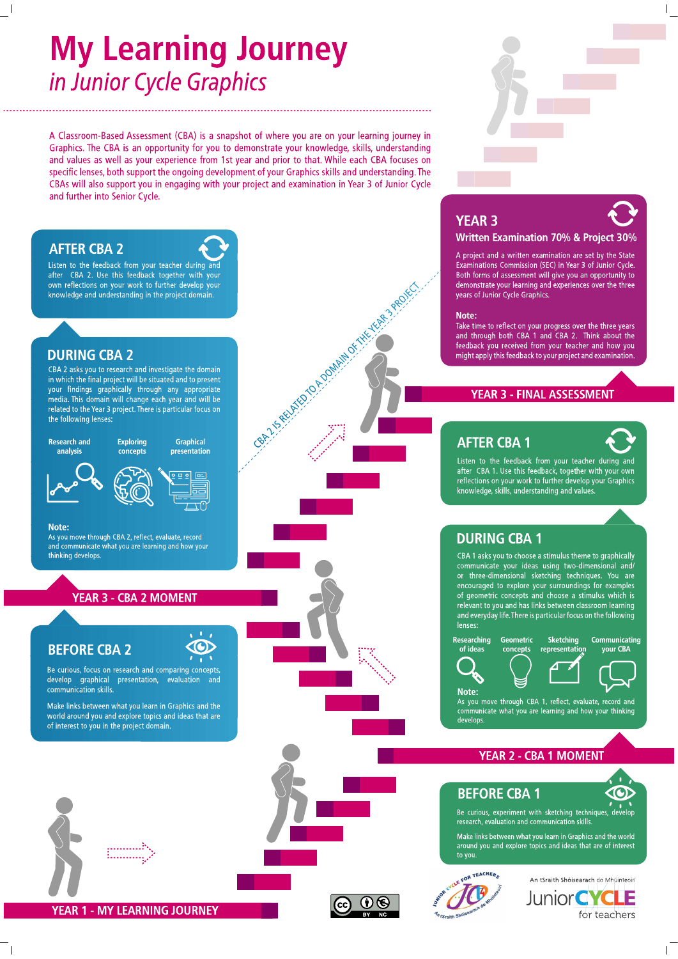## **My Learning Journey** in Junior Cycle Graphics

A Classroom-Based Assessment (CBA) is a snapshot of where you are on your learning journey in Graphics. The CBA is an opportunity for you to demonstrate your knowledge, skills, understanding and values as well as your experience from 1st year and prior to that. While each CBA focuses on specific lenses, both support the ongoing development of your Graphics skills and understanding. The CBAs will also support you in engaging with your project and examination in Year 3 of Junior Cycle and further into Senior Cycle.

Gen. 15 Recycle 20 A Download Microsoft

### **AFTER CBA 2**

Listen to the feedback from your teacher during an after CBA 2. Use this feedback together with your own reflections on your work to further develop your knowledge and understanding in the project domain.

### **DURING CBA 2**

CBA 2 asks you to research and investigate the domain in which the final project will be situated and to present your findings graphically through any appropriate media. This domain will change each year and will be related to the Year 3 project. There is particular focus on the following lenses:

**Research and** analysis

**Exploring Graphical** concepts presentation





Note:

and communicate what you are learning and how your thinking develops

### **YEAR 3 - CBA 2 MOMENT**

### **BEFORE CBA 2**

Be curious, focus on research and comparing concepts, develop graphical presentation, evaluation and communication skills.

Make links between what you learn in Graphics and the world around you and explore topics and ideas that are of interest to you in the project domain.







### **YEAR 3**



A project and a written examination are set by the State Examinations Commission (SEC) in Year 3 of Junior Cycle. Both forms of assessment will give you an opportunity to demonstrate your learning and experiences over the three vears of Junior Cycle Graphics.

### Note:

Take time to reflect on your progress over the three years and through both CBA 1 and CBA 2. Think about the feedback you received from your teacher and how you might apply this feedback to your project and examination.

### **YEAR 3 - FINAL ASSESSMENT**

### **AFTER CBA 1**



Listen to the feedback from your teacher during and<br>after CBA 1. Use this feedback, together with your own reflections on your work to further develop your Graphics knowledge, skills, understanding and values

### **DURING CBA 1**

CBA 1 asks you to choose a stimulus theme to graphically communicate your ideas using two-dimensional and/ or three-dimensional sketching techniques. You are encouraged to explore your surroundings for examples of geometric concepts and choose a stimulus which is<br>relevant to you and has links between classroom learning and everyday life. There is particular focus on the following lenses

Sketching









Note: As you move through CBA 1, reflect, evaluate, record and<br>communicate what you are learning and how your thinking develops

### **YEAR 2 - CBA 1 MOMENT**

### **BEFORE CBA 1**

30

Be curious, experiment with sketching techniques, develop research, evaluation and communication skills

Make links between what you learn in Graphics and the world<br>around you and explore topics and ideas that are of interest to you.



(i) (6



CO

As you move through CBA 2, reflect, evaluate, record